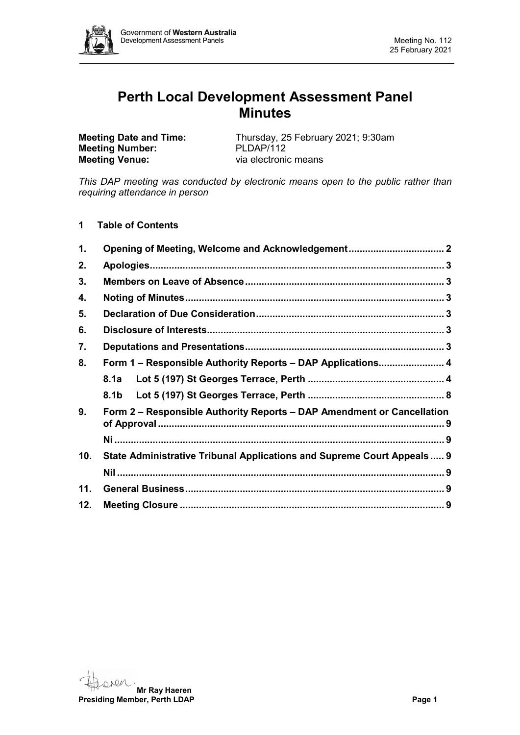

# **Perth Local Development Assessment Panel Minutes**

**Meeting Number:**<br>Meeting Venue:

**Meeting Date and Time:** Thursday, 25 February 2021; 9:30am<br> **Meeting Number:** PLDAP/112 via electronic means

*This DAP meeting was conducted by electronic means open to the public rather than requiring attendance in person*

# **1 Table of Contents**

| $\mathbf{1}$ . | Opening of Meeting, Welcome and Acknowledgement 2                       |  |
|----------------|-------------------------------------------------------------------------|--|
| 2.             |                                                                         |  |
| 3.             |                                                                         |  |
| 4.             |                                                                         |  |
| 5.             |                                                                         |  |
| 6.             |                                                                         |  |
| 7.             |                                                                         |  |
| 8.             | Form 1 - Responsible Authority Reports - DAP Applications 4             |  |
|                | 8.1a                                                                    |  |
|                | 8.1b                                                                    |  |
| 9.             | Form 2 – Responsible Authority Reports – DAP Amendment or Cancellation  |  |
|                |                                                                         |  |
| 10.            | State Administrative Tribunal Applications and Supreme Court Appeals  9 |  |
|                |                                                                         |  |
| 11.            |                                                                         |  |
| 12.            |                                                                         |  |

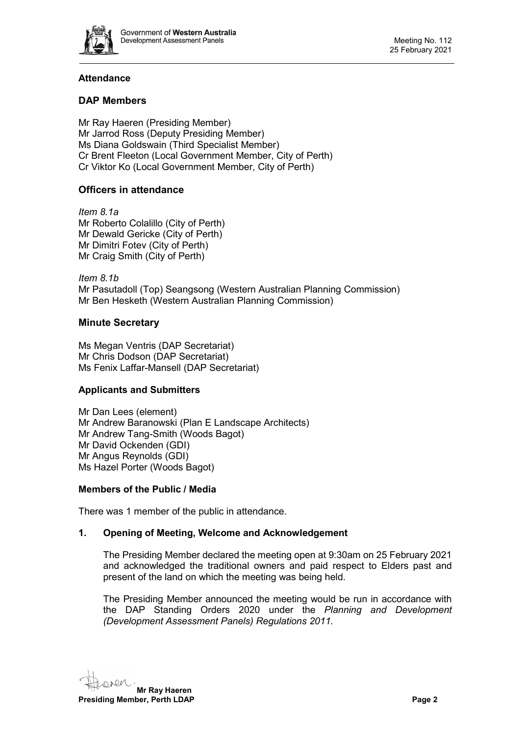

# **Attendance**

# **DAP Members**

Mr Ray Haeren (Presiding Member) Mr Jarrod Ross (Deputy Presiding Member) Ms Diana Goldswain (Third Specialist Member) Cr Brent Fleeton (Local Government Member, City of Perth) Cr Viktor Ko (Local Government Member, City of Perth)

# **Officers in attendance**

*Item 8.1a* Mr Roberto Colalillo (City of Perth) Mr Dewald Gericke (City of Perth) Mr Dimitri Fotev (City of Perth) Mr Craig Smith (City of Perth)

*Item 8.1b* Mr Pasutadoll (Top) Seangsong (Western Australian Planning Commission) Mr Ben Hesketh (Western Australian Planning Commission)

# **Minute Secretary**

Ms Megan Ventris (DAP Secretariat) Mr Chris Dodson (DAP Secretariat) Ms Fenix Laffar-Mansell (DAP Secretariat)

# **Applicants and Submitters**

Mr Dan Lees (element) Mr Andrew Baranowski (Plan E Landscape Architects) Mr Andrew Tang-Smith (Woods Bagot) Mr David Ockenden (GDI) Mr Angus Reynolds (GDI) Ms Hazel Porter (Woods Bagot)

# **Members of the Public / Media**

<span id="page-1-0"></span>There was 1 member of the public in attendance.

# **1. Opening of Meeting, Welcome and Acknowledgement**

The Presiding Member declared the meeting open at 9:30am on 25 February 2021 and acknowledged the traditional owners and paid respect to Elders past and present of the land on which the meeting was being held.

The Presiding Member announced the meeting would be run in accordance with the DAP Standing Orders 2020 under the *Planning and Development (Development Assessment Panels) Regulations 2011.*

**Mr Ray Haeren Presiding Member, Perth LDAP Page 2 Page 2**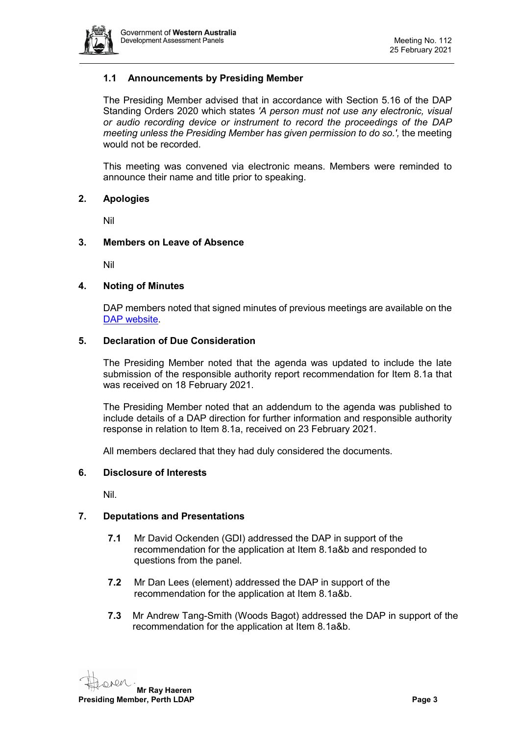

# **1.1 Announcements by Presiding Member**

The Presiding Member advised that in accordance with Section 5.16 of the DAP Standing Orders 2020 which states *'A person must not use any electronic, visual or audio recording device or instrument to record the proceedings of the DAP meeting unless the Presiding Member has given permission to do so.',* the meeting would not be recorded.

This meeting was convened via electronic means. Members were reminded to announce their name and title prior to speaking.

#### <span id="page-2-0"></span>**2. Apologies**

Nil

#### <span id="page-2-1"></span>**3. Members on Leave of Absence**

Nil

#### <span id="page-2-2"></span>**4. Noting of Minutes**

DAP members noted that signed minutes of previous meetings are available on the [DAP website.](https://www.dplh.wa.gov.au/about/development-assessment-panels/daps-agendas-and-minutes)

#### <span id="page-2-3"></span>**5. Declaration of Due Consideration**

The Presiding Member noted that the agenda was updated to include the late submission of the responsible authority report recommendation for Item 8.1a that was received on 18 February 2021.

The Presiding Member noted that an addendum to the agenda was published to include details of a DAP direction for further information and responsible authority response in relation to Item 8.1a, received on 23 February 2021.

All members declared that they had duly considered the documents.

#### <span id="page-2-4"></span>**6. Disclosure of Interests**

Nil.

#### <span id="page-2-5"></span>**7. Deputations and Presentations**

- **7.1** Mr David Ockenden (GDI) addressed the DAP in support of the recommendation for the application at Item 8.1a&b and responded to questions from the panel.
- **7.2** Mr Dan Lees (element) addressed the DAP in support of the recommendation for the application at Item 8.1a&b.
- **7.3** Mr Andrew Tang-Smith (Woods Bagot) addressed the DAP in support of the recommendation for the application at Item 8.1a&b.

**Mr Ray Haeren Presiding Member, Perth LDAP Page 3**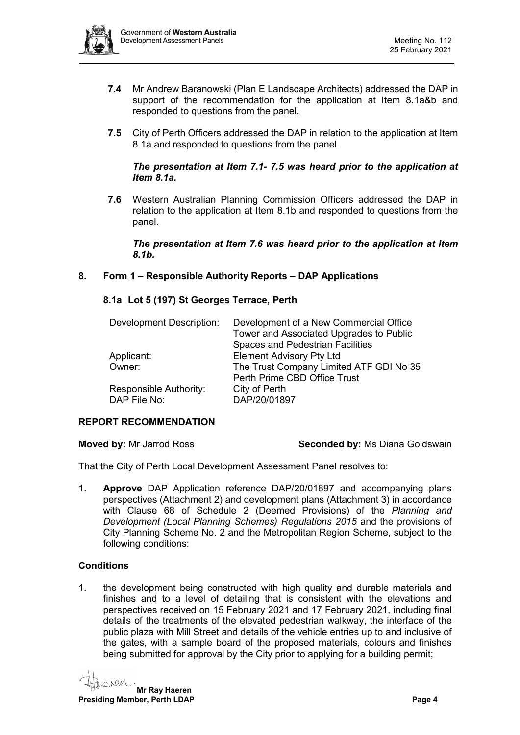

- **7.4** Mr Andrew Baranowski (Plan E Landscape Architects) addressed the DAP in support of the recommendation for the application at Item 8.1a&b and responded to questions from the panel.
- **7.5** City of Perth Officers addressed the DAP in relation to the application at Item 8.1a and responded to questions from the panel.

#### *The presentation at Item 7.1- 7.5 was heard prior to the application at Item 8.1a.*

**7.6** Western Australian Planning Commission Officers addressed the DAP in relation to the application at Item 8.1b and responded to questions from the panel.

*The presentation at Item 7.6 was heard prior to the application at Item 8.1b.*

<span id="page-3-1"></span><span id="page-3-0"></span>**8. Form 1 – Responsible Authority Reports – DAP Applications**

# **8.1a Lot 5 (197) St Georges Terrace, Perth**

| <b>Development Description:</b> | Development of a New Commercial Office<br>Tower and Associated Upgrades to Public<br><b>Spaces and Pedestrian Facilities</b> |
|---------------------------------|------------------------------------------------------------------------------------------------------------------------------|
| Applicant:                      | <b>Element Advisory Pty Ltd</b>                                                                                              |
| Owner:                          | The Trust Company Limited ATF GDI No 35                                                                                      |
|                                 | Perth Prime CBD Office Trust                                                                                                 |
| Responsible Authority:          | City of Perth                                                                                                                |
| DAP File No:                    | DAP/20/01897                                                                                                                 |

#### **REPORT RECOMMENDATION**

**Moved by:** Mr Jarrod Ross **Seconded by:** Ms Diana Goldswain

That the City of Perth Local Development Assessment Panel resolves to:

1. **Approve** DAP Application reference DAP/20/01897 and accompanying plans perspectives (Attachment 2) and development plans (Attachment 3) in accordance with Clause 68 of Schedule 2 (Deemed Provisions) of the *Planning and Development (Local Planning Schemes) Regulations 2015* and the provisions of City Planning Scheme No. 2 and the Metropolitan Region Scheme, subject to the following conditions:

# **Conditions**

1. the development being constructed with high quality and durable materials and finishes and to a level of detailing that is consistent with the elevations and perspectives received on 15 February 2021 and 17 February 2021, including final details of the treatments of the elevated pedestrian walkway, the interface of the public plaza with Mill Street and details of the vehicle entries up to and inclusive of the gates, with a sample board of the proposed materials, colours and finishes being submitted for approval by the City prior to applying for a building permit;

**Mr Ray Haeren Presiding Member, Perth LDAP Page 4**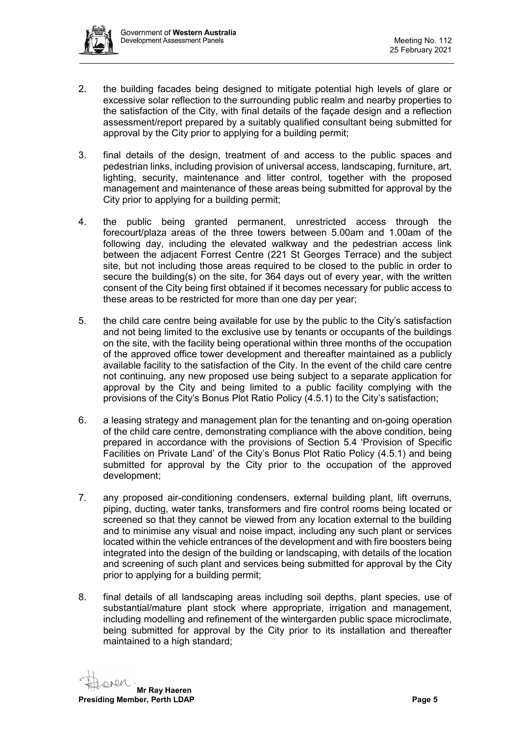

- 2. the building facades being designed to mitigate potential high levels of glare or excessive solar reflection to the surrounding public realm and nearby properties to the satisfaction of the City, with final details of the façade design and a reflection assessment/report prepared by a suitably qualified consultant being submitted for approval by the City prior to applying for a building permit;
- 3. final details of the design, treatment of and access to the public spaces and pedestrian links, including provision of universal access, landscaping, furniture, art, lighting, security, maintenance and litter control, together with the proposed management and maintenance of these areas being submitted for approval by the City prior to applying for a building permit;
- 4. the public being granted permanent, unrestricted access through the forecourt/plaza areas of the three towers between 5.00am and 1.00am of the following day, including the elevated walkway and the pedestrian access link between the adjacent Forrest Centre (221 St Georges Terrace) and the subject site, but not including those areas required to be closed to the public in order to secure the building(s) on the site, for 364 days out of every year, with the written consent of the City being first obtained if it becomes necessary for public access to these areas to be restricted for more than one day per year;
- 5. the child care centre being available for use by the public to the City's satisfaction and not being limited to the exclusive use by tenants or occupants of the buildings on the site, with the facility being operational within three months of the occupation of the approved office tower development and thereafter maintained as a publicly available facility to the satisfaction of the City. In the event of the child care centre not continuing, any new proposed use being subject to a separate application for approval by the City and being limited to a public facility complying with the provisions of the City's Bonus Plot Ratio Policy (4.5.1) to the City's satisfaction;
- 6. a leasing strategy and management plan for the tenanting and on-going operation of the child care centre, demonstrating compliance with the above condition, being prepared in accordance with the provisions of Section 5.4 'Provision of Specific Facilities on Private Land' of the City's Bonus Plot Ratio Policy (4.5.1) and being submitted for approval by the City prior to the occupation of the approved development;
- 7. any proposed air-conditioning condensers, external building plant, lift overruns, piping, ducting, water tanks, transformers and fire control rooms being located or screened so that they cannot be viewed from any location external to the building and to minimise any visual and noise impact, including any such plant or services located within the vehicle entrances of the development and with fire boosters being integrated into the design of the building or landscaping, with details of the location and screening of such plant and services being submitted for approval by the City prior to applying for a building permit;
- 8. final details of all landscaping areas including soil depths, plant species, use of substantial/mature plant stock where appropriate, irrigation and management, including modelling and refinement of the wintergarden public space microclimate, being submitted for approval by the City prior to its installation and thereafter maintained to a high standard;

**Mr Ray Haeren Presiding Member, Perth LDAP Page 5**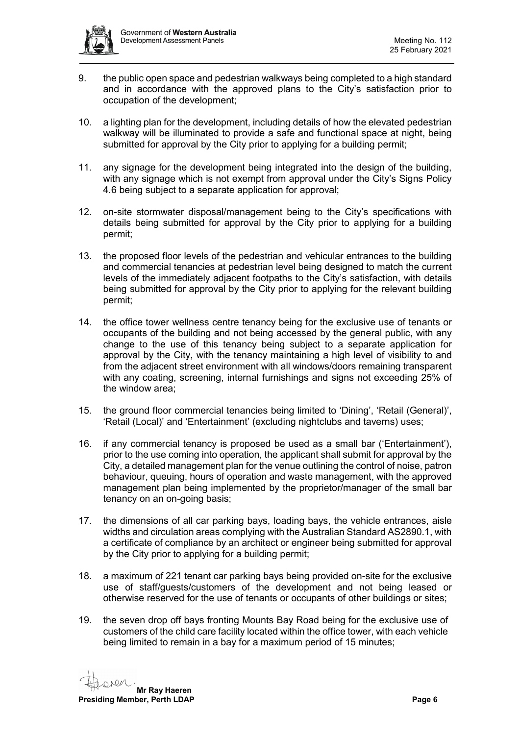

- 9. the public open space and pedestrian walkways being completed to a high standard and in accordance with the approved plans to the City's satisfaction prior to occupation of the development;
- 10. a lighting plan for the development, including details of how the elevated pedestrian walkway will be illuminated to provide a safe and functional space at night, being submitted for approval by the City prior to applying for a building permit;
- 11. any signage for the development being integrated into the design of the building, with any signage which is not exempt from approval under the City's Signs Policy 4.6 being subject to a separate application for approval;
- 12. on-site stormwater disposal/management being to the City's specifications with details being submitted for approval by the City prior to applying for a building permit;
- 13. the proposed floor levels of the pedestrian and vehicular entrances to the building and commercial tenancies at pedestrian level being designed to match the current levels of the immediately adjacent footpaths to the City's satisfaction, with details being submitted for approval by the City prior to applying for the relevant building permit;
- 14. the office tower wellness centre tenancy being for the exclusive use of tenants or occupants of the building and not being accessed by the general public, with any change to the use of this tenancy being subject to a separate application for approval by the City, with the tenancy maintaining a high level of visibility to and from the adjacent street environment with all windows/doors remaining transparent with any coating, screening, internal furnishings and signs not exceeding 25% of the window area;
- 15. the ground floor commercial tenancies being limited to 'Dining', 'Retail (General)', 'Retail (Local)' and 'Entertainment' (excluding nightclubs and taverns) uses;
- 16. if any commercial tenancy is proposed be used as a small bar ('Entertainment'), prior to the use coming into operation, the applicant shall submit for approval by the City, a detailed management plan for the venue outlining the control of noise, patron behaviour, queuing, hours of operation and waste management, with the approved management plan being implemented by the proprietor/manager of the small bar tenancy on an on-going basis;
- 17. the dimensions of all car parking bays, loading bays, the vehicle entrances, aisle widths and circulation areas complying with the Australian Standard AS2890.1, with a certificate of compliance by an architect or engineer being submitted for approval by the City prior to applying for a building permit;
- 18. a maximum of 221 tenant car parking bays being provided on-site for the exclusive use of staff/guests/customers of the development and not being leased or otherwise reserved for the use of tenants or occupants of other buildings or sites;
- 19. the seven drop off bays fronting Mounts Bay Road being for the exclusive use of customers of the child care facility located within the office tower, with each vehicle being limited to remain in a bay for a maximum period of 15 minutes;

**Mr Ray Haeren Presiding Member, Perth LDAP Page 6**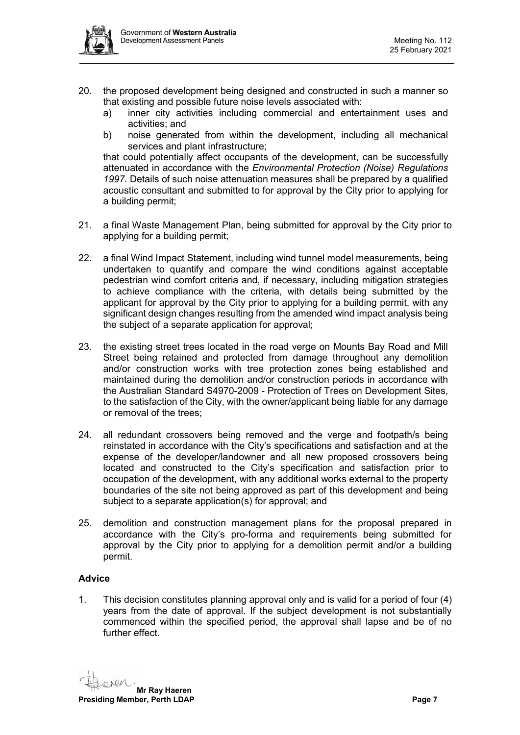

- 20. the proposed development being designed and constructed in such a manner so that existing and possible future noise levels associated with:
	- a) inner city activities including commercial and entertainment uses and activities; and
	- b) noise generated from within the development, including all mechanical services and plant infrastructure;

that could potentially affect occupants of the development, can be successfully attenuated in accordance with the *Environmental Protection (Noise) Regulations 1997*. Details of such noise attenuation measures shall be prepared by a qualified acoustic consultant and submitted to for approval by the City prior to applying for a building permit;

- 21. a final Waste Management Plan, being submitted for approval by the City prior to applying for a building permit;
- 22. a final Wind Impact Statement, including wind tunnel model measurements, being undertaken to quantify and compare the wind conditions against acceptable pedestrian wind comfort criteria and, if necessary, including mitigation strategies to achieve compliance with the criteria, with details being submitted by the applicant for approval by the City prior to applying for a building permit, with any significant design changes resulting from the amended wind impact analysis being the subject of a separate application for approval;
- 23. the existing street trees located in the road verge on Mounts Bay Road and Mill Street being retained and protected from damage throughout any demolition and/or construction works with tree protection zones being established and maintained during the demolition and/or construction periods in accordance with the Australian Standard S4970-2009 - Protection of Trees on Development Sites, to the satisfaction of the City, with the owner/applicant being liable for any damage or removal of the trees;
- 24. all redundant crossovers being removed and the verge and footpath/s being reinstated in accordance with the City's specifications and satisfaction and at the expense of the developer/landowner and all new proposed crossovers being located and constructed to the City's specification and satisfaction prior to occupation of the development, with any additional works external to the property boundaries of the site not being approved as part of this development and being subject to a separate application(s) for approval; and
- 25. demolition and construction management plans for the proposal prepared in accordance with the City's pro-forma and requirements being submitted for approval by the City prior to applying for a demolition permit and/or a building permit.

# **Advice**

1. This decision constitutes planning approval only and is valid for a period of four (4) years from the date of approval. If the subject development is not substantially commenced within the specified period, the approval shall lapse and be of no further effect.

**Mr Ray Haeren Presiding Member, Perth LDAP Page 7**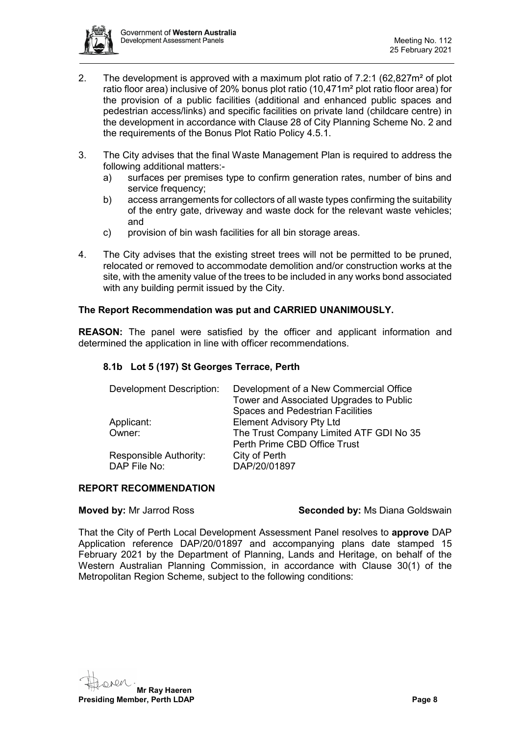

- 2. The development is approved with a maximum plot ratio of 7.2:1 (62,827m² of plot ratio floor area) inclusive of 20% bonus plot ratio (10,471m² plot ratio floor area) for the provision of a public facilities (additional and enhanced public spaces and pedestrian access/links) and specific facilities on private land (childcare centre) in the development in accordance with Clause 28 of City Planning Scheme No. 2 and the requirements of the Bonus Plot Ratio Policy 4.5.1.
- 3. The City advises that the final Waste Management Plan is required to address the following additional matters:
	- a) surfaces per premises type to confirm generation rates, number of bins and service frequency:
	- b) access arrangements for collectors of all waste types confirming the suitability of the entry gate, driveway and waste dock for the relevant waste vehicles; and
	- c) provision of bin wash facilities for all bin storage areas.
- 4. The City advises that the existing street trees will not be permitted to be pruned, relocated or removed to accommodate demolition and/or construction works at the site, with the amenity value of the trees to be included in any works bond associated with any building permit issued by the City.

#### **The Report Recommendation was put and CARRIED UNANIMOUSLY.**

**REASON:** The panel were satisfied by the officer and applicant information and determined the application in line with officer recommendations.

#### <span id="page-7-0"></span>**8.1b Lot 5 (197) St Georges Terrace, Perth**

| <b>Development Description:</b>        | Development of a New Commercial Office<br>Tower and Associated Upgrades to Public<br><b>Spaces and Pedestrian Facilities</b> |
|----------------------------------------|------------------------------------------------------------------------------------------------------------------------------|
| Applicant:                             | <b>Element Advisory Pty Ltd</b>                                                                                              |
| Owner:                                 | The Trust Company Limited ATF GDI No 35<br>Perth Prime CBD Office Trust                                                      |
| Responsible Authority:<br>DAP File No: | City of Perth<br>DAP/20/01897                                                                                                |

#### **REPORT RECOMMENDATION**

#### **Moved by:** Mr Jarrod Ross **Seconded by:** Ms Diana Goldswain

That the City of Perth Local Development Assessment Panel resolves to **approve** DAP Application reference DAP/20/01897 and accompanying plans date stamped 15 February 2021 by the Department of Planning, Lands and Heritage, on behalf of the Western Australian Planning Commission, in accordance with Clause 30(1) of the Metropolitan Region Scheme, subject to the following conditions:

**Mr Ray Haeren**